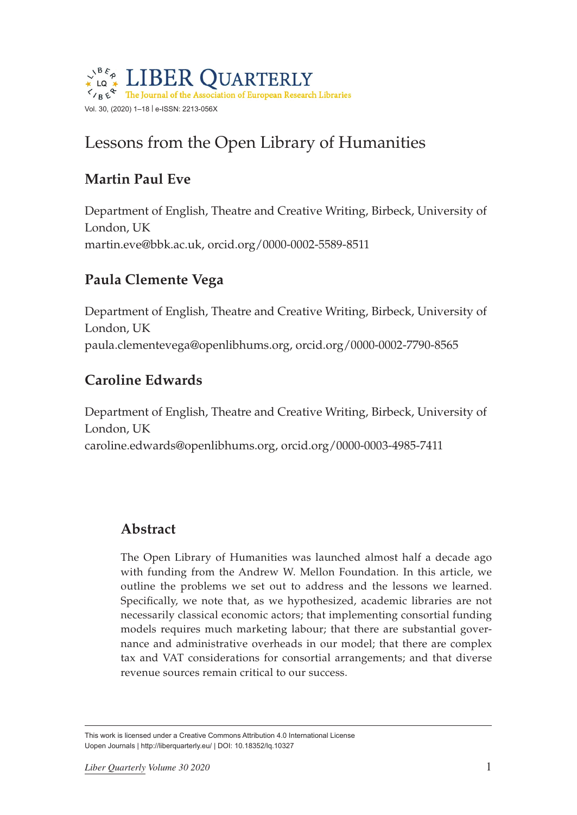

# Lessons from the Open Library of Humanities

# **Martin Paul Eve**

Department of English, Theatre and Creative Writing, Birbeck, University of London, UK [martin.eve@bbk.ac](mailto:martin.eve@bbk.ac).uk, [orcid.org/0000-0002-5589-8511](http://orcid.org/0000-0002-5589-8511)

# **Paula Clemente Vega**

Department of English, Theatre and Creative Writing, Birbeck, University of London, UK [paula.clementevega@openlibhums.org](mailto:paula.clementevega%40openlibhums.org?subject=), [orcid.org/0000-0002-7790-8565](http://orcid.org/0000-0002-7790-8565)

## **Caroline Edwards**

Department of English, Theatre and Creative Writing, Birbeck, University of London, UK [caroline.edwards@openlibhums.org,](mailto:caroline.edwards@openlibhums.org) [orcid.org/0000-0003-4985-7411](http://orcid.org/0000-0003-4985-7411)

## **Abstract**

The Open Library of Humanities was launched almost half a decade ago with funding from the Andrew W. Mellon Foundation. In this article, we outline the problems we set out to address and the lessons we learned. Specifically, we note that, as we hypothesized, academic libraries are not necessarily classical economic actors; that implementing consortial funding models requires much marketing labour; that there are substantial governance and administrative overheads in our model; that there are complex tax and VAT considerations for consortial arrangements; and that diverse revenue sources remain critical to our success.

This work is licensed under a Creative Commons Attribution 4.0 International License Uopen Journals | <http://liberquarterly.eu>/ | DOI: 10.18352/lq.10327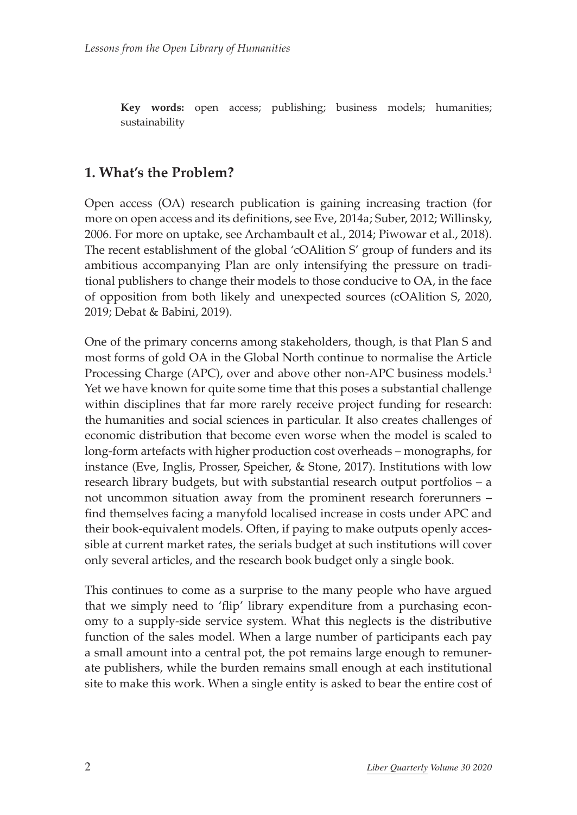**Key words:** open access; publishing; business models; humanities; sustainability

### **1. What's the Problem?**

Open access (OA) research publication is gaining increasing traction (for more on open access and its definitions, see Eve, 2014a; Suber, 2012; Willinsky, 2006. For more on uptake, see Archambault et al., 2014; Piwowar et al., 2018). The recent establishment of the global 'cOAlition S' group of funders and its ambitious accompanying Plan are only intensifying the pressure on traditional publishers to change their models to those conducive to OA, in the face of opposition from both likely and unexpected sources (cOAlition S, 2020, 2019; Debat & Babini, 2019).

One of the primary concerns among stakeholders, though, is that Plan S and most forms of gold OA in the Global North continue to normalise the Article Processing Charge (APC), over and above other non-APC business models.<sup>1</sup> Yet we have known for quite some time that this poses a substantial challenge within disciplines that far more rarely receive project funding for research: the humanities and social sciences in particular. It also creates challenges of economic distribution that become even worse when the model is scaled to long-form artefacts with higher production cost overheads – monographs, for instance (Eve, Inglis, Prosser, Speicher, & Stone, 2017). Institutions with low research library budgets, but with substantial research output portfolios – a not uncommon situation away from the prominent research forerunners – find themselves facing a manyfold localised increase in costs under APC and their book-equivalent models. Often, if paying to make outputs openly accessible at current market rates, the serials budget at such institutions will cover only several articles, and the research book budget only a single book.

This continues to come as a surprise to the many people who have argued that we simply need to 'flip' library expenditure from a purchasing economy to a supply-side service system. What this neglects is the distributive function of the sales model. When a large number of participants each pay a small amount into a central pot, the pot remains large enough to remunerate publishers, while the burden remains small enough at each institutional site to make this work. When a single entity is asked to bear the entire cost of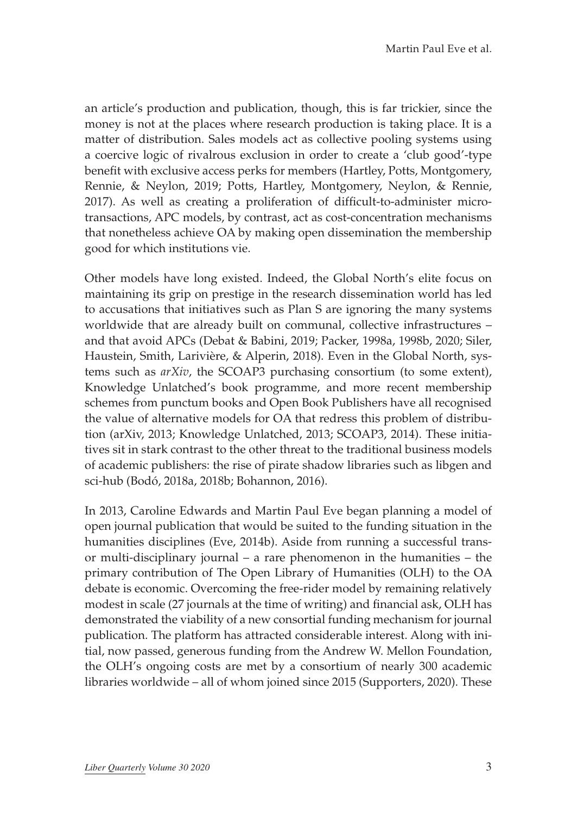an article's production and publication, though, this is far trickier, since the money is not at the places where research production is taking place. It is a matter of distribution. Sales models act as collective pooling systems using a coercive logic of rivalrous exclusion in order to create a 'club good'-type benefit with exclusive access perks for members (Hartley, Potts, Montgomery, Rennie, & Neylon, 2019; Potts, Hartley, Montgomery, Neylon, & Rennie, 2017). As well as creating a proliferation of difficult-to-administer microtransactions, APC models, by contrast, act as cost-concentration mechanisms that nonetheless achieve OA by making open dissemination the membership good for which institutions vie.

Other models have long existed. Indeed, the Global North's elite focus on maintaining its grip on prestige in the research dissemination world has led to accusations that initiatives such as Plan S are ignoring the many systems worldwide that are already built on communal, collective infrastructures – and that avoid APCs (Debat & Babini, 2019; Packer, 1998a, 1998b, 2020; Siler, Haustein, Smith, Larivière, & Alperin, 2018). Even in the Global North, systems such as *arXiv*, the SCOAP3 purchasing consortium (to some extent), Knowledge Unlatched's book programme, and more recent membership schemes from punctum books and Open Book Publishers have all recognised the value of alternative models for OA that redress this problem of distribution (arXiv, 2013; Knowledge Unlatched, 2013; SCOAP3, 2014). These initiatives sit in stark contrast to the other threat to the traditional business models of academic publishers: the rise of pirate shadow libraries such as libgen and sci-hub (Bodó, 2018a, 2018b; Bohannon, 2016).

In 2013, Caroline Edwards and Martin Paul Eve began planning a model of open journal publication that would be suited to the funding situation in the humanities disciplines (Eve, 2014b). Aside from running a successful transor multi-disciplinary journal – a rare phenomenon in the humanities – the primary contribution of The Open Library of Humanities (OLH) to the OA debate is economic. Overcoming the free-rider model by remaining relatively modest in scale (27 journals at the time of writing) and financial ask, OLH has demonstrated the viability of a new consortial funding mechanism for journal publication. The platform has attracted considerable interest. Along with initial, now passed, generous funding from the Andrew W. Mellon Foundation, the OLH's ongoing costs are met by a consortium of nearly 300 academic libraries worldwide – all of whom joined since 2015 (Supporters, 2020). These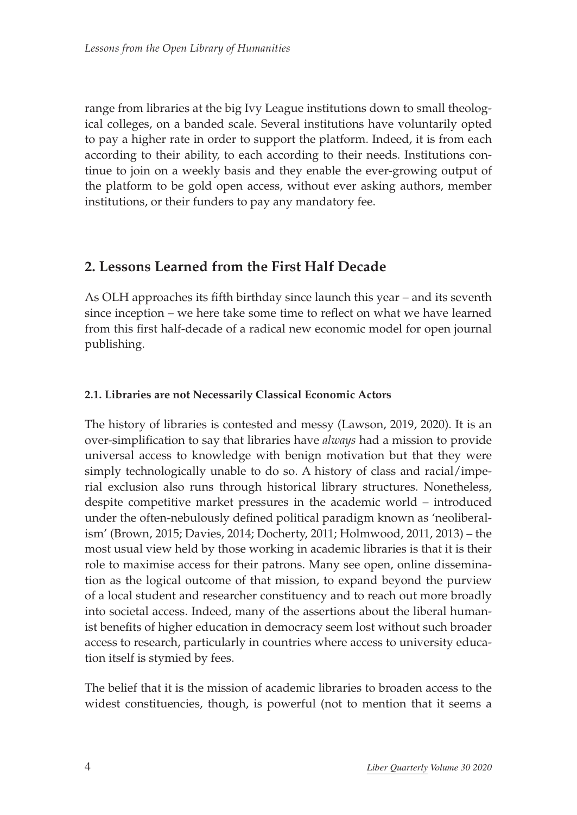range from libraries at the big Ivy League institutions down to small theological colleges, on a banded scale. Several institutions have voluntarily opted to pay a higher rate in order to support the platform. Indeed, it is from each according to their ability, to each according to their needs. Institutions continue to join on a weekly basis and they enable the ever-growing output of the platform to be gold open access, without ever asking authors, member institutions, or their funders to pay any mandatory fee.

## **2. Lessons Learned from the First Half Decade**

As OLH approaches its fifth birthday since launch this year – and its seventh since inception – we here take some time to reflect on what we have learned from this first half-decade of a radical new economic model for open journal publishing.

### **2.1. Libraries are not Necessarily Classical Economic Actors**

The history of libraries is contested and messy (Lawson, 2019, 2020). It is an over-simplification to say that libraries have *always* had a mission to provide universal access to knowledge with benign motivation but that they were simply technologically unable to do so. A history of class and racial/imperial exclusion also runs through historical library structures. Nonetheless, despite competitive market pressures in the academic world – introduced under the often-nebulously defined political paradigm known as 'neoliberalism' (Brown, 2015; Davies, 2014; Docherty, 2011; Holmwood, 2011, 2013) – the most usual view held by those working in academic libraries is that it is their role to maximise access for their patrons. Many see open, online dissemination as the logical outcome of that mission, to expand beyond the purview of a local student and researcher constituency and to reach out more broadly into societal access. Indeed, many of the assertions about the liberal humanist benefits of higher education in democracy seem lost without such broader access to research, particularly in countries where access to university education itself is stymied by fees.

The belief that it is the mission of academic libraries to broaden access to the widest constituencies, though, is powerful (not to mention that it seems a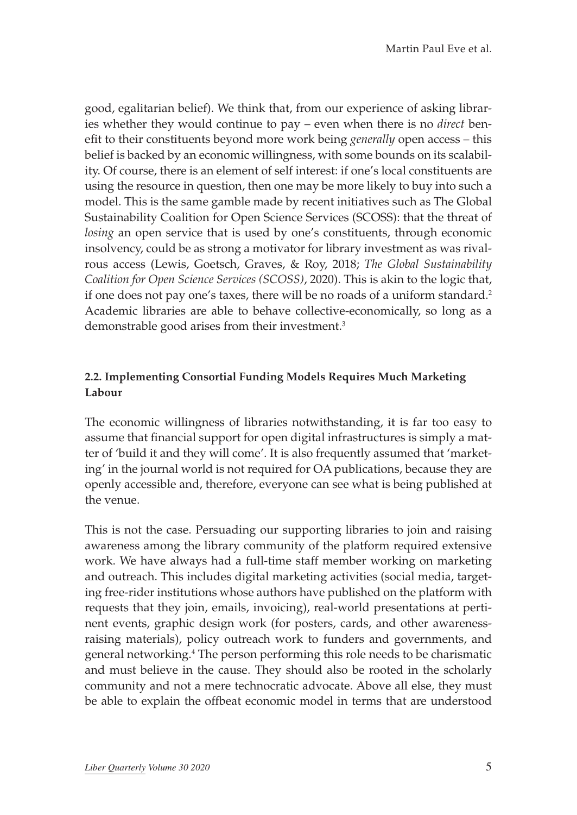good, egalitarian belief). We think that, from our experience of asking libraries whether they would continue to pay – even when there is no *direct* benefit to their constituents beyond more work being *generally* open access – this belief is backed by an economic willingness, with some bounds on its scalability. Of course, there is an element of self interest: if one's local constituents are using the resource in question, then one may be more likely to buy into such a model. This is the same gamble made by recent initiatives such as The Global Sustainability Coalition for Open Science Services (SCOSS): that the threat of *losing* an open service that is used by one's constituents, through economic insolvency, could be as strong a motivator for library investment as was rivalrous access (Lewis, Goetsch, Graves, & Roy, 2018; *The Global Sustainability Coalition for Open Science Services (SCOSS)*, 2020). This is akin to the logic that, if one does not pay one's taxes, there will be no roads of a uniform standard.<sup>2</sup> Academic libraries are able to behave collective-economically, so long as a demonstrable good arises from their investment.<sup>3</sup>

### **2.2. Implementing Consortial Funding Models Requires Much Marketing Labour**

The economic willingness of libraries notwithstanding, it is far too easy to assume that financial support for open digital infrastructures is simply a matter of 'build it and they will come'. It is also frequently assumed that 'marketing' in the journal world is not required for OA publications, because they are openly accessible and, therefore, everyone can see what is being published at the venue.

This is not the case. Persuading our supporting libraries to join and raising awareness among the library community of the platform required extensive work. We have always had a full-time staff member working on marketing and outreach. This includes digital marketing activities (social media, targeting free-rider institutions whose authors have published on the platform with requests that they join, emails, invoicing), real-world presentations at pertinent events, graphic design work (for posters, cards, and other awarenessraising materials), policy outreach work to funders and governments, and general networking.4 The person performing this role needs to be charismatic and must believe in the cause. They should also be rooted in the scholarly community and not a mere technocratic advocate. Above all else, they must be able to explain the offbeat economic model in terms that are understood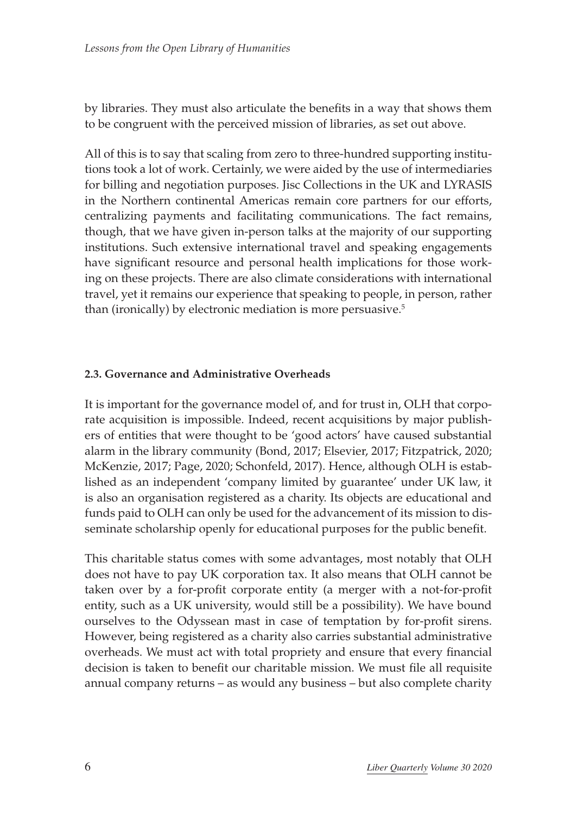by libraries. They must also articulate the benefits in a way that shows them to be congruent with the perceived mission of libraries, as set out above.

All of this is to say that scaling from zero to three-hundred supporting institutions took a lot of work. Certainly, we were aided by the use of intermediaries for billing and negotiation purposes. Jisc Collections in the UK and LYRASIS in the Northern continental Americas remain core partners for our efforts, centralizing payments and facilitating communications. The fact remains, though, that we have given in-person talks at the majority of our supporting institutions. Such extensive international travel and speaking engagements have significant resource and personal health implications for those working on these projects. There are also climate considerations with international travel, yet it remains our experience that speaking to people, in person, rather than (ironically) by electronic mediation is more persuasive.5

#### **2.3. Governance and Administrative Overheads**

It is important for the governance model of, and for trust in, OLH that corporate acquisition is impossible. Indeed, recent acquisitions by major publishers of entities that were thought to be 'good actors' have caused substantial alarm in the library community (Bond, 2017; Elsevier, 2017; Fitzpatrick, 2020; McKenzie, 2017; Page, 2020; Schonfeld, 2017). Hence, although OLH is established as an independent 'company limited by guarantee' under UK law, it is also an organisation registered as a charity. Its objects are educational and funds paid to OLH can only be used for the advancement of its mission to disseminate scholarship openly for educational purposes for the public benefit.

This charitable status comes with some advantages, most notably that OLH does not have to pay UK corporation tax. It also means that OLH cannot be taken over by a for-profit corporate entity (a merger with a not-for-profit entity, such as a UK university, would still be a possibility). We have bound ourselves to the Odyssean mast in case of temptation by for-profit sirens. However, being registered as a charity also carries substantial administrative overheads. We must act with total propriety and ensure that every financial decision is taken to benefit our charitable mission. We must file all requisite annual company returns – as would any business – but also complete charity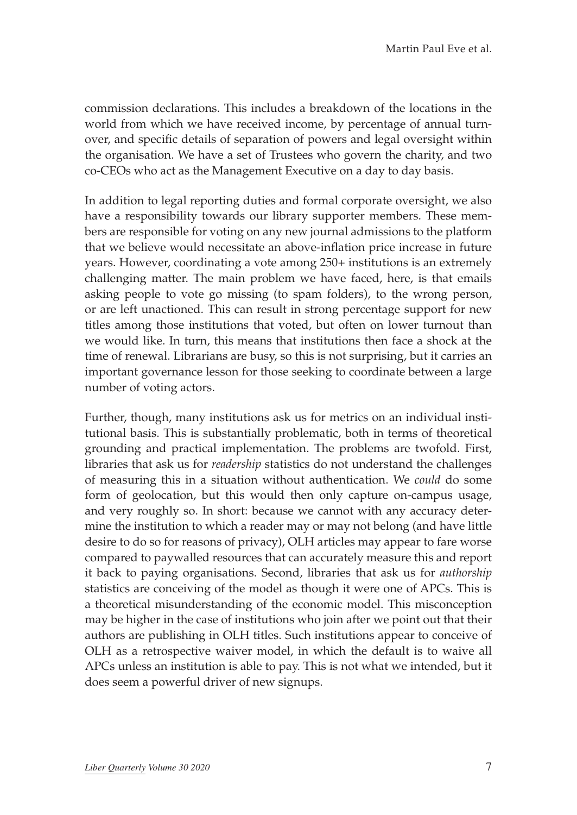commission declarations. This includes a breakdown of the locations in the world from which we have received income, by percentage of annual turnover, and specific details of separation of powers and legal oversight within the organisation. We have a set of Trustees who govern the charity, and two co-CEOs who act as the Management Executive on a day to day basis.

In addition to legal reporting duties and formal corporate oversight, we also have a responsibility towards our library supporter members. These members are responsible for voting on any new journal admissions to the platform that we believe would necessitate an above-inflation price increase in future years. However, coordinating a vote among 250+ institutions is an extremely challenging matter. The main problem we have faced, here, is that emails asking people to vote go missing (to spam folders), to the wrong person, or are left unactioned. This can result in strong percentage support for new titles among those institutions that voted, but often on lower turnout than we would like. In turn, this means that institutions then face a shock at the time of renewal. Librarians are busy, so this is not surprising, but it carries an important governance lesson for those seeking to coordinate between a large number of voting actors.

Further, though, many institutions ask us for metrics on an individual institutional basis. This is substantially problematic, both in terms of theoretical grounding and practical implementation. The problems are twofold. First, libraries that ask us for *readership* statistics do not understand the challenges of measuring this in a situation without authentication. We *could* do some form of geolocation, but this would then only capture on-campus usage, and very roughly so. In short: because we cannot with any accuracy determine the institution to which a reader may or may not belong (and have little desire to do so for reasons of privacy), OLH articles may appear to fare worse compared to paywalled resources that can accurately measure this and report it back to paying organisations. Second, libraries that ask us for *authorship* statistics are conceiving of the model as though it were one of APCs. This is a theoretical misunderstanding of the economic model. This misconception may be higher in the case of institutions who join after we point out that their authors are publishing in OLH titles. Such institutions appear to conceive of OLH as a retrospective waiver model, in which the default is to waive all APCs unless an institution is able to pay. This is not what we intended, but it does seem a powerful driver of new signups.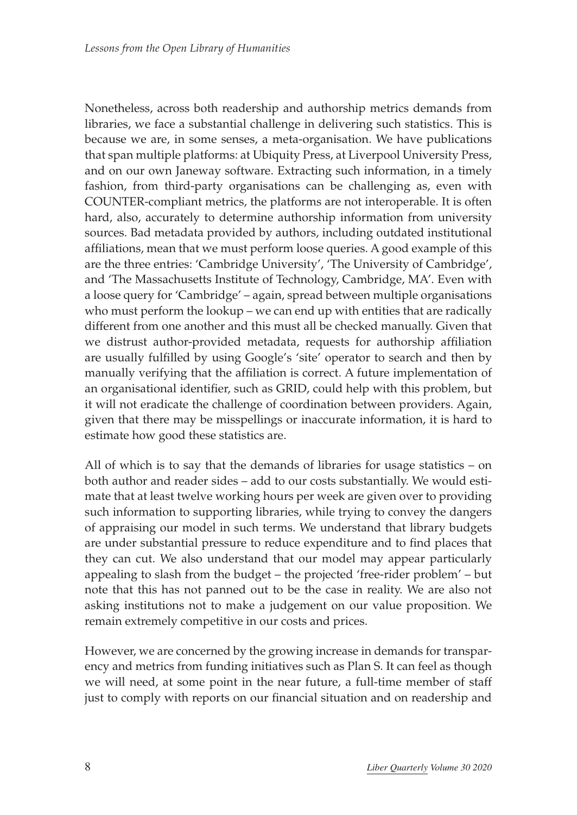Nonetheless, across both readership and authorship metrics demands from libraries, we face a substantial challenge in delivering such statistics. This is because we are, in some senses, a meta-organisation. We have publications that span multiple platforms: at Ubiquity Press, at Liverpool University Press, and on our own Janeway software. Extracting such information, in a timely fashion, from third-party organisations can be challenging as, even with COUNTER-compliant metrics, the platforms are not interoperable. It is often hard, also, accurately to determine authorship information from university sources. Bad metadata provided by authors, including outdated institutional affiliations, mean that we must perform loose queries. A good example of this are the three entries: 'Cambridge University', 'The University of Cambridge', and 'The Massachusetts Institute of Technology, Cambridge, MA'. Even with a loose query for 'Cambridge' – again, spread between multiple organisations who must perform the lookup – we can end up with entities that are radically different from one another and this must all be checked manually. Given that we distrust author-provided metadata, requests for authorship affiliation are usually fulfilled by using Google's 'site' operator to search and then by manually verifying that the affiliation is correct. A future implementation of an organisational identifier, such as GRID, could help with this problem, but it will not eradicate the challenge of coordination between providers. Again, given that there may be misspellings or inaccurate information, it is hard to estimate how good these statistics are.

All of which is to say that the demands of libraries for usage statistics – on both author and reader sides – add to our costs substantially. We would estimate that at least twelve working hours per week are given over to providing such information to supporting libraries, while trying to convey the dangers of appraising our model in such terms. We understand that library budgets are under substantial pressure to reduce expenditure and to find places that they can cut. We also understand that our model may appear particularly appealing to slash from the budget – the projected 'free-rider problem' – but note that this has not panned out to be the case in reality. We are also not asking institutions not to make a judgement on our value proposition. We remain extremely competitive in our costs and prices.

However, we are concerned by the growing increase in demands for transparency and metrics from funding initiatives such as Plan S. It can feel as though we will need, at some point in the near future, a full-time member of staff just to comply with reports on our financial situation and on readership and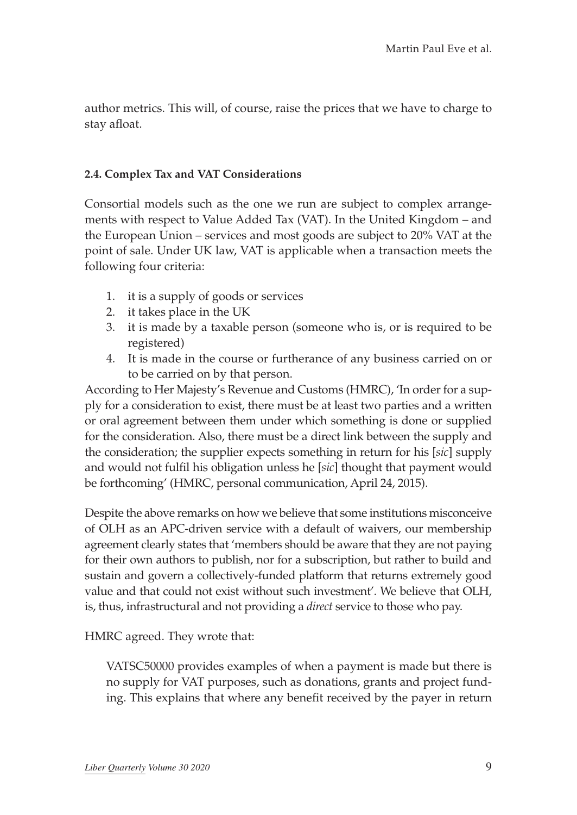author metrics. This will, of course, raise the prices that we have to charge to stay afloat.

#### **2.4. Complex Tax and VAT Considerations**

Consortial models such as the one we run are subject to complex arrangements with respect to Value Added Tax (VAT). In the United Kingdom – and the European Union – services and most goods are subject to 20% VAT at the point of sale. Under UK law, VAT is applicable when a transaction meets the following four criteria:

- 1. it is a supply of goods or services
- 2. it takes place in the UK
- 3. it is made by a taxable person (someone who is, or is required to be registered)
- 4. It is made in the course or furtherance of any business carried on or to be carried on by that person.

According to Her Majesty's Revenue and Customs (HMRC), 'In order for a supply for a consideration to exist, there must be at least two parties and a written or oral agreement between them under which something is done or supplied for the consideration. Also, there must be a direct link between the supply and the consideration; the supplier expects something in return for his [*sic*] supply and would not fulfil his obligation unless he [*sic*] thought that payment would be forthcoming' (HMRC, personal communication, April 24, 2015).

Despite the above remarks on how we believe that some institutions misconceive of OLH as an APC-driven service with a default of waivers, our membership agreement clearly states that 'members should be aware that they are not paying for their own authors to publish, nor for a subscription, but rather to build and sustain and govern a collectively-funded platform that returns extremely good value and that could not exist without such investment'. We believe that OLH, is, thus, infrastructural and not providing a *direct* service to those who pay.

#### HMRC agreed. They wrote that:

VATSC50000 provides examples of when a payment is made but there is no supply for VAT purposes, such as donations, grants and project funding. This explains that where any benefit received by the payer in return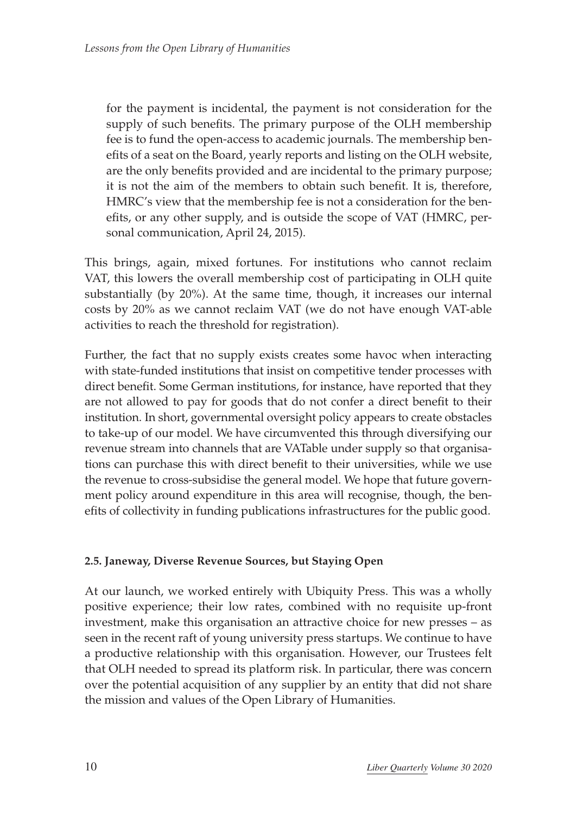for the payment is incidental, the payment is not consideration for the supply of such benefits. The primary purpose of the OLH membership fee is to fund the open-access to academic journals. The membership benefits of a seat on the Board, yearly reports and listing on the OLH website, are the only benefits provided and are incidental to the primary purpose; it is not the aim of the members to obtain such benefit. It is, therefore, HMRC's view that the membership fee is not a consideration for the benefits, or any other supply, and is outside the scope of VAT (HMRC, personal communication, April 24, 2015).

This brings, again, mixed fortunes. For institutions who cannot reclaim VAT, this lowers the overall membership cost of participating in OLH quite substantially (by 20%). At the same time, though, it increases our internal costs by 20% as we cannot reclaim VAT (we do not have enough VAT-able activities to reach the threshold for registration).

Further, the fact that no supply exists creates some havoc when interacting with state-funded institutions that insist on competitive tender processes with direct benefit. Some German institutions, for instance, have reported that they are not allowed to pay for goods that do not confer a direct benefit to their institution. In short, governmental oversight policy appears to create obstacles to take-up of our model. We have circumvented this through diversifying our revenue stream into channels that are VATable under supply so that organisations can purchase this with direct benefit to their universities, while we use the revenue to cross-subsidise the general model. We hope that future government policy around expenditure in this area will recognise, though, the benefits of collectivity in funding publications infrastructures for the public good.

#### **2.5. Janeway, Diverse Revenue Sources, but Staying Open**

At our launch, we worked entirely with Ubiquity Press. This was a wholly positive experience; their low rates, combined with no requisite up-front investment, make this organisation an attractive choice for new presses – as seen in the recent raft of young university press startups. We continue to have a productive relationship with this organisation. However, our Trustees felt that OLH needed to spread its platform risk. In particular, there was concern over the potential acquisition of any supplier by an entity that did not share the mission and values of the Open Library of Humanities.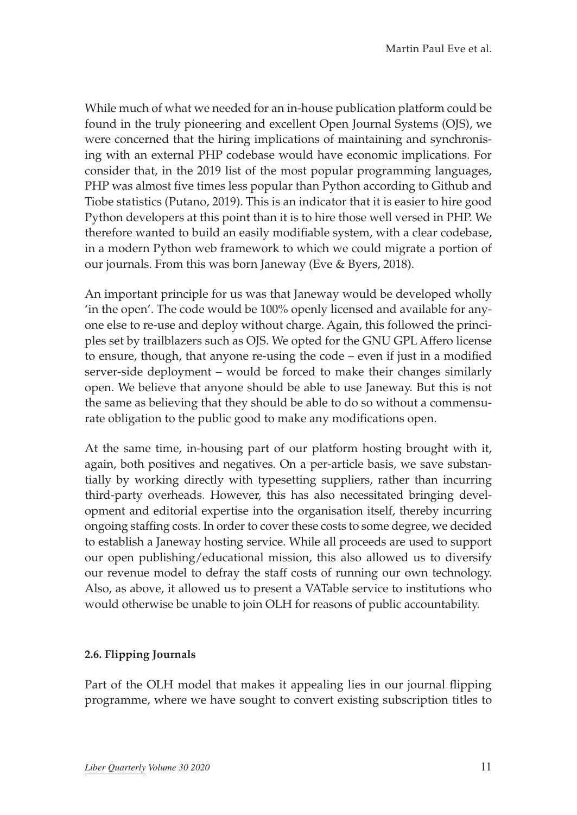While much of what we needed for an in-house publication platform could be found in the truly pioneering and excellent Open Journal Systems (OJS), we were concerned that the hiring implications of maintaining and synchronising with an external PHP codebase would have economic implications. For consider that, in the 2019 list of the most popular programming languages, PHP was almost five times less popular than Python according to Github and Tiobe statistics (Putano, 2019). This is an indicator that it is easier to hire good Python developers at this point than it is to hire those well versed in PHP. We therefore wanted to build an easily modifiable system, with a clear codebase, in a modern Python web framework to which we could migrate a portion of our journals. From this was born Janeway (Eve & Byers, 2018).

An important principle for us was that Janeway would be developed wholly 'in the open'. The code would be 100% openly licensed and available for anyone else to re-use and deploy without charge. Again, this followed the principles set by trailblazers such as OJS. We opted for the GNU GPL Affero license to ensure, though, that anyone re-using the code – even if just in a modified server-side deployment – would be forced to make their changes similarly open. We believe that anyone should be able to use Janeway. But this is not the same as believing that they should be able to do so without a commensurate obligation to the public good to make any modifications open.

At the same time, in-housing part of our platform hosting brought with it, again, both positives and negatives. On a per-article basis, we save substantially by working directly with typesetting suppliers, rather than incurring third-party overheads. However, this has also necessitated bringing development and editorial expertise into the organisation itself, thereby incurring ongoing staffing costs. In order to cover these costs to some degree, we decided to establish a Janeway hosting service. While all proceeds are used to support our open publishing/educational mission, this also allowed us to diversify our revenue model to defray the staff costs of running our own technology. Also, as above, it allowed us to present a VATable service to institutions who would otherwise be unable to join OLH for reasons of public accountability.

### **2.6. Flipping Journals**

Part of the OLH model that makes it appealing lies in our journal flipping programme, where we have sought to convert existing subscription titles to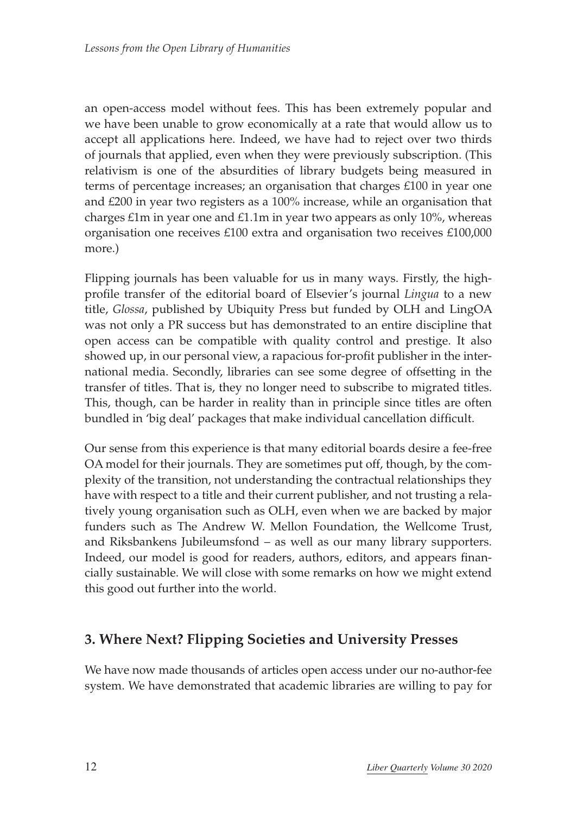an open-access model without fees. This has been extremely popular and we have been unable to grow economically at a rate that would allow us to accept all applications here. Indeed, we have had to reject over two thirds of journals that applied, even when they were previously subscription. (This relativism is one of the absurdities of library budgets being measured in terms of percentage increases; an organisation that charges £100 in year one and £200 in year two registers as a 100% increase, while an organisation that charges £1m in year one and £1.1m in year two appears as only 10%, whereas organisation one receives £100 extra and organisation two receives £100,000 more.)

Flipping journals has been valuable for us in many ways. Firstly, the highprofile transfer of the editorial board of Elsevier's journal *Lingua* to a new title, *Glossa*, published by Ubiquity Press but funded by OLH and LingOA was not only a PR success but has demonstrated to an entire discipline that open access can be compatible with quality control and prestige. It also showed up, in our personal view, a rapacious for-profit publisher in the international media. Secondly, libraries can see some degree of offsetting in the transfer of titles. That is, they no longer need to subscribe to migrated titles. This, though, can be harder in reality than in principle since titles are often bundled in 'big deal' packages that make individual cancellation difficult.

Our sense from this experience is that many editorial boards desire a fee-free OA model for their journals. They are sometimes put off, though, by the complexity of the transition, not understanding the contractual relationships they have with respect to a title and their current publisher, and not trusting a relatively young organisation such as OLH, even when we are backed by major funders such as The Andrew W. Mellon Foundation, the Wellcome Trust, and Riksbankens Jubileumsfond – as well as our many library supporters. Indeed, our model is good for readers, authors, editors, and appears financially sustainable. We will close with some remarks on how we might extend this good out further into the world.

## **3. Where Next? Flipping Societies and University Presses**

We have now made thousands of articles open access under our no-author-fee system. We have demonstrated that academic libraries are willing to pay for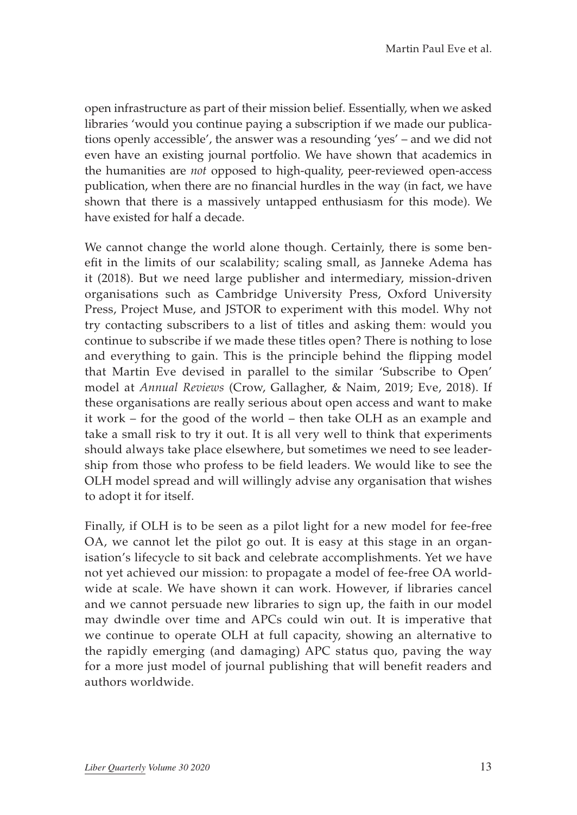open infrastructure as part of their mission belief. Essentially, when we asked libraries 'would you continue paying a subscription if we made our publications openly accessible', the answer was a resounding 'yes' – and we did not even have an existing journal portfolio. We have shown that academics in the humanities are *not* opposed to high-quality, peer-reviewed open-access publication, when there are no financial hurdles in the way (in fact, we have shown that there is a massively untapped enthusiasm for this mode). We have existed for half a decade.

We cannot change the world alone though. Certainly, there is some benefit in the limits of our scalability; scaling small, as Janneke Adema has it (2018). But we need large publisher and intermediary, mission-driven organisations such as Cambridge University Press, Oxford University Press, Project Muse, and JSTOR to experiment with this model. Why not try contacting subscribers to a list of titles and asking them: would you continue to subscribe if we made these titles open? There is nothing to lose and everything to gain. This is the principle behind the flipping model that Martin Eve devised in parallel to the similar 'Subscribe to Open' model at *Annual Reviews* (Crow, Gallagher, & Naim, 2019; Eve, 2018). If these organisations are really serious about open access and want to make it work – for the good of the world – then take OLH as an example and take a small risk to try it out. It is all very well to think that experiments should always take place elsewhere, but sometimes we need to see leadership from those who profess to be field leaders. We would like to see the OLH model spread and will willingly advise any organisation that wishes to adopt it for itself.

Finally, if OLH is to be seen as a pilot light for a new model for fee-free OA, we cannot let the pilot go out. It is easy at this stage in an organisation's lifecycle to sit back and celebrate accomplishments. Yet we have not yet achieved our mission: to propagate a model of fee-free OA worldwide at scale. We have shown it can work. However, if libraries cancel and we cannot persuade new libraries to sign up, the faith in our model may dwindle over time and APCs could win out. It is imperative that we continue to operate OLH at full capacity, showing an alternative to the rapidly emerging (and damaging) APC status quo, paving the way for a more just model of journal publishing that will benefit readers and authors worldwide.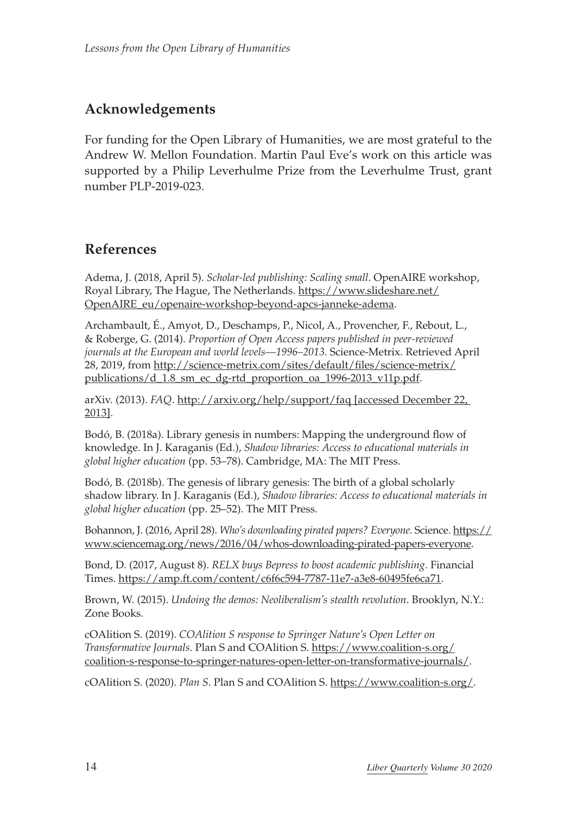# **Acknowledgements**

For funding for the Open Library of Humanities, we are most grateful to the Andrew W. Mellon Foundation. Martin Paul Eve's work on this article was supported by a Philip Leverhulme Prize from the Leverhulme Trust, grant number PLP-2019-023.

### **References**

Adema, J. (2018, April 5). *Scholar-led publishing: Scaling small*. OpenAIRE workshop, Royal Library, The Hague, The Netherlands. [https://www.slideshare.net/](https://www.slideshare.net/OpenAIRE_eu/openaire-workshop-beyond-apcs-janneke-adema) [OpenAIRE\\_eu/openaire-workshop-beyond-apcs-janneke-adema](https://www.slideshare.net/OpenAIRE_eu/openaire-workshop-beyond-apcs-janneke-adema).

Archambault, É., Amyot, D., Deschamps, P., Nicol, A., Provencher, F., Rebout, L., & Roberge, G. (2014). *Proportion of Open Access papers published in peer-reviewed journals at the European and world levels—1996–2013*. Science-Metrix. Retrieved April 28, 2019, from [http://science-metrix.com/sites/default/files/science-metrix/](http://science-metrix.com/sites/default/files/science-metrix/publications/d_1.8_sm_ec_dg-rtd_proportion_oa_1996-2013_v11p.pdf) [publications/d\\_1.8\\_sm\\_ec\\_dg-rtd\\_proportion\\_oa\\_1996-2013\\_v11p.pdf.](http://science-metrix.com/sites/default/files/science-metrix/publications/d_1.8_sm_ec_dg-rtd_proportion_oa_1996-2013_v11p.pdf)

arXiv. (2013). *FAQ*.<http://arxiv.org/help/support/faq> [accessed December 22, 2013].

Bodó, B. (2018a). Library genesis in numbers: Mapping the underground flow of knowledge. In J. Karaganis (Ed.), *Shadow libraries: Access to educational materials in global higher education* (pp. 53–78). Cambridge, MA: The MIT Press.

Bodó, B. (2018b). The genesis of library genesis: The birth of a global scholarly shadow library. In J. Karaganis (Ed.), *Shadow libraries: Access to educational materials in global higher education* (pp. 25–52). The MIT Press.

Bohannon, J. (2016, April 28). *Who's downloading pirated papers? Everyone*. Science. [https://](https://www.sciencemag.org/news/2016/04/whos-downloading-pirated-papers-everyone) [www.sciencemag.org/news/2016/04/whos-downloading-pirated-papers-everyone.](https://www.sciencemag.org/news/2016/04/whos-downloading-pirated-papers-everyone)

Bond, D. (2017, August 8). *RELX buys Bepress to boost academic publishing*. Financial Times. [https://amp.ft.com/content/c6f6c594-7787-11e7-a3e8-60495fe6ca71.](https://amp.ft.com/content/c6f6c594-7787-11e7-a3e8-60495fe6ca71)

Brown, W. (2015). *Undoing the demos: Neoliberalism's stealth revolution*. Brooklyn, N.Y.: Zone Books.

cOAlition S. (2019). *COAlition S response to Springer Nature's Open Letter on Transformative Journals*. Plan S and COAlition S. [https://www.coalition-s.org/](https://www.coalition-s.org/coalition-s-response-to-springer-natures-open-letter-on-transformative-journals/) [coalition-s-response-to-springer-natures-open-letter-on-transformative-journals/](https://www.coalition-s.org/coalition-s-response-to-springer-natures-open-letter-on-transformative-journals/).

cOAlition S. (2020). *Plan S*. Plan S and COAlition S. [https://www.coalition-s.org/.](https://www.coalition-s.org/)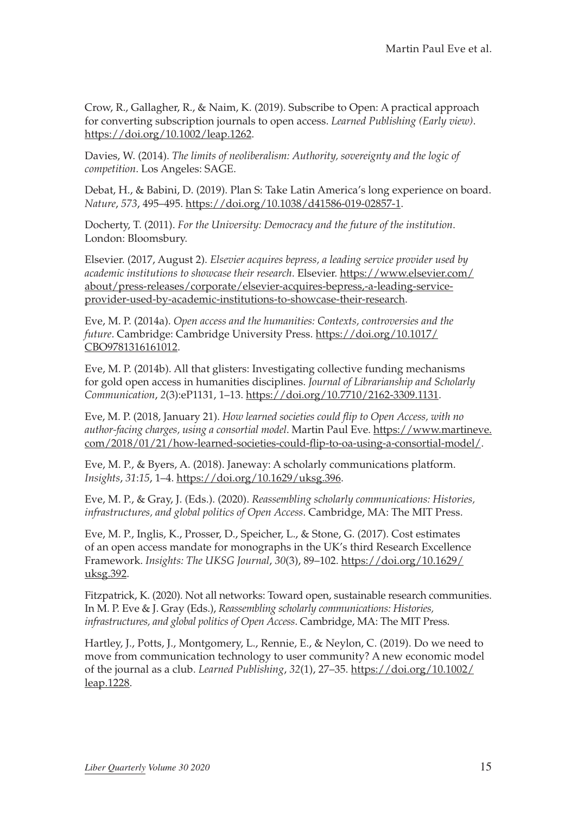Crow, R., Gallagher, R., & Naim, K. (2019). Subscribe to Open: A practical approach for converting subscription journals to open access. *Learned Publishing (Early view)*. <https://doi.org/10.1002/leap.1262>.

Davies, W. (2014). *The limits of neoliberalism: Authority, sovereignty and the logic of competition*. Los Angeles: SAGE.

Debat, H., & Babini, D. (2019). Plan S: Take Latin America's long experience on board. *Nature*, *573*, 495–495. [https://doi.org/10.1038/d41586-019-02857-1.](https://doi.org/10.1038/d41586-019-02857-1)

Docherty, T. (2011). *For the University: Democracy and the future of the institution*. London: Bloomsbury.

Elsevier. (2017, August 2). *Elsevier acquires bepress, a leading service provider used by academic institutions to showcase their research*. Elsevier. [https://www.elsevier.com/](https://www.elsevier.com/about/press-releases/corporate/elsevier-acquires-bepress,-a-leading-service-provider-used-by-academic-institutions-to-showcase-their-research) [about/press-releases/corporate/elsevier-acquires-bepress,-a-leading-service](https://www.elsevier.com/about/press-releases/corporate/elsevier-acquires-bepress,-a-leading-service-provider-used-by-academic-institutions-to-showcase-their-research)[provider-used-by-academic-institutions-to-showcase-their-research](https://www.elsevier.com/about/press-releases/corporate/elsevier-acquires-bepress,-a-leading-service-provider-used-by-academic-institutions-to-showcase-their-research).

Eve, M. P. (2014a). *Open access and the humanities: Contexts, controversies and the future*. Cambridge: Cambridge University Press. [https://doi.org/10.1017/](https://doi.org/10.1017/CBO9781316161012) [CBO9781316161012](https://doi.org/10.1017/CBO9781316161012).

Eve, M. P. (2014b). All that glisters: Investigating collective funding mechanisms for gold open access in humanities disciplines. *Journal of Librarianship and Scholarly Communication*, *2*(3):eP1131, 1–13. [https://doi.org/10.7710/2162-3309.1131.](https://doi.org/10.7710/2162-3309.1131)

Eve, M. P. (2018, January 21). *How learned societies could flip to Open Access, with no author-facing charges, using a consortial model*. Martin Paul Eve. [https://www.martineve.](https://www.martineve.com/2018/01/21/how-learned-societies-could-flip-to-oa-using-a-consortial-model/) [com/2018/01/21/how-learned-societies-could-flip-to-oa-using-a-consortial-model/.](https://www.martineve.com/2018/01/21/how-learned-societies-could-flip-to-oa-using-a-consortial-model/)

Eve, M. P., & Byers, A. (2018). Janeway: A scholarly communications platform. *Insights*, *31*:*15*, 1–4. [https://doi.org/10.1629/uksg.396.](https://doi.org/10.1629/uksg.396)

Eve, M. P., & Gray, J. (Eds.). (2020). *Reassembling scholarly communications: Histories, infrastructures, and global politics of Open Access*. Cambridge, MA: The MIT Press.

Eve, M. P., Inglis, K., Prosser, D., Speicher, L., & Stone, G. (2017). Cost estimates of an open access mandate for monographs in the UK's third Research Excellence Framework. *Insights: The UKSG Journal*, *30*(3), 89–102. [https://doi.org/10.1629/](https://doi.org/10.1629/uksg.392) [uksg.392.](https://doi.org/10.1629/uksg.392)

Fitzpatrick, K. (2020). Not all networks: Toward open, sustainable research communities. In M. P. Eve & J. Gray (Eds.), *Reassembling scholarly communications: Histories, infrastructures, and global politics of Open Access*. Cambridge, MA: The MIT Press.

Hartley, J., Potts, J., Montgomery, L., Rennie, E., & Neylon, C. (2019). Do we need to move from communication technology to user community? A new economic model of the journal as a club. *Learned Publishing*, *32*(1), 27–35. [https://doi.org/10.1002/](https://doi.org/10.1002/leap.1228) [leap.1228](https://doi.org/10.1002/leap.1228).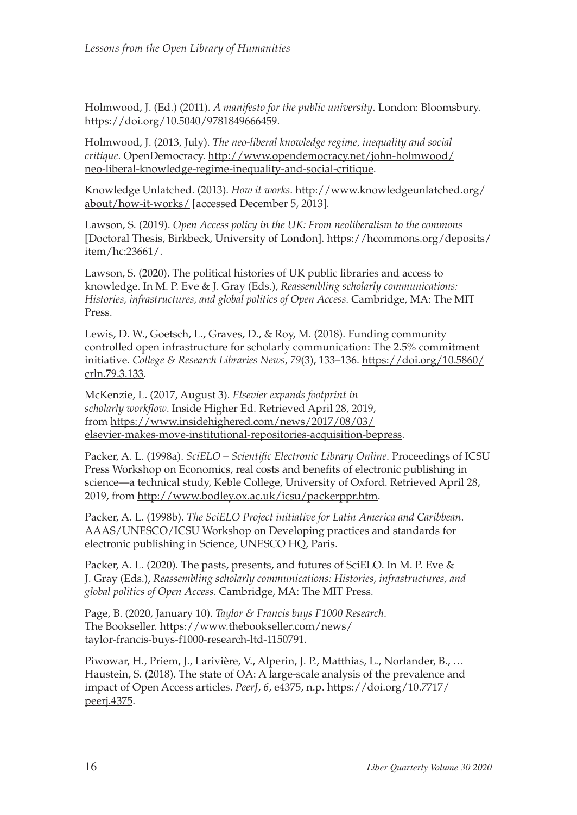Holmwood, J. (Ed.) (2011). *A manifesto for the public university*. London: Bloomsbury. [https://doi.org/10.5040/9781849666459.](https://doi.org/10.5040/9781849666459)

Holmwood, J. (2013, July). *The neo-liberal knowledge regime, inequality and social critique*. OpenDemocracy. [http://www.opendemocracy.net/john-holmwood/](http://www.opendemocracy.net/john-holmwood/neo-liberal-knowledge-regime-inequality-and-social-critique) [neo-liberal-knowledge-regime-inequality-and-social-critique](http://www.opendemocracy.net/john-holmwood/neo-liberal-knowledge-regime-inequality-and-social-critique).

Knowledge Unlatched. (2013). *How it works*. [http://www.knowledgeunlatched.org/](http://www.knowledgeunlatched.org/about/how-it-works/) [about/how-it-works/](http://www.knowledgeunlatched.org/about/how-it-works/) [accessed December 5, 2013].

Lawson, S. (2019). *Open Access policy in the UK: From neoliberalism to the commons* [Doctoral Thesis, Birkbeck, University of London]. [https://hcommons.org/deposits/](https://hcommons.org/deposits/item/hc:23661/) [item/hc:23661/.](https://hcommons.org/deposits/item/hc:23661/)

Lawson, S. (2020). The political histories of UK public libraries and access to knowledge. In M. P. Eve & J. Gray (Eds.), *Reassembling scholarly communications: Histories, infrastructures, and global politics of Open Access*. Cambridge, MA: The MIT Press.

Lewis, D. W., Goetsch, L., Graves, D., & Roy, M. (2018). Funding community controlled open infrastructure for scholarly communication: The 2.5% commitment initiative. *College & Research Libraries News*, *79*(3), 133–136. [https://doi.org/10.5860/](https://doi.org/10.5860/crln.79.3.133) [crln.79.3.133](https://doi.org/10.5860/crln.79.3.133).

McKenzie, L. (2017, August 3). *Elsevier expands footprint in scholarly workflow*. Inside Higher Ed. Retrieved April 28, 2019, from [https://www.insidehighered.com/news/2017/08/03/](https://www.insidehighered.com/news/2017/08/03/elsevier-makes-move-institutional-repositories-acquisition-bepress) [elsevier-makes-move-institutional-repositories-acquisition-bepress.](https://www.insidehighered.com/news/2017/08/03/elsevier-makes-move-institutional-repositories-acquisition-bepress)

Packer, A. L. (1998a). *SciELO – Scientific Electronic Library Online*. Proceedings of ICSU Press Workshop on Economics, real costs and benefits of electronic publishing in science—a technical study, Keble College, University of Oxford. Retrieved April 28, 2019, from [http://www.bodley.ox.ac.uk/icsu/packerppr.htm.](http://www.bodley.ox.ac.uk/icsu/packerppr.htm)

Packer, A. L. (1998b). *The SciELO Project initiative for Latin America and Caribbean*. AAAS/UNESCO/ICSU Workshop on Developing practices and standards for electronic publishing in Science, UNESCO HQ, Paris.

Packer, A. L. (2020). The pasts, presents, and futures of SciELO. In M. P. Eve & J. Gray (Eds.), *Reassembling scholarly communications: Histories, infrastructures, and global politics of Open Access*. Cambridge, MA: The MIT Press.

Page, B. (2020, January 10). *Taylor & Francis buys F1000 Research*. The Bookseller. [https://www.thebookseller.com/news/](https://www.thebookseller.com/news/taylor-francis-buys-f1000-research-ltd-1150791) [taylor-francis-buys-f1000-research-ltd-1150791](https://www.thebookseller.com/news/taylor-francis-buys-f1000-research-ltd-1150791).

Piwowar, H., Priem, J., Larivière, V., Alperin, J. P., Matthias, L., Norlander, B., … Haustein, S. (2018). The state of OA: A large-scale analysis of the prevalence and impact of Open Access articles. *PeerJ*, *6*, e4375, n.p. [https://doi.org/10.7717/](https://doi.org/10.7717/peerj.4375) [peerj.4375.](https://doi.org/10.7717/peerj.4375)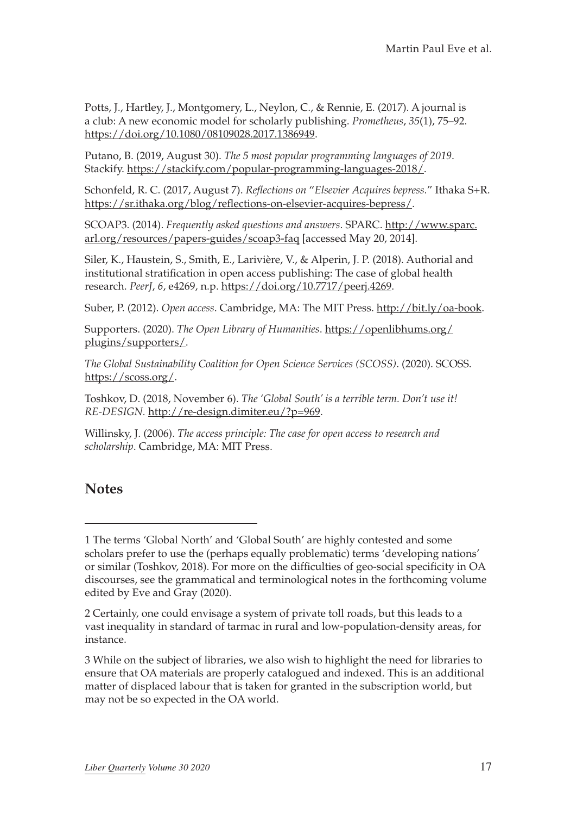Potts, J., Hartley, J., Montgomery, L., Neylon, C., & Rennie, E. (2017). A journal is a club: A new economic model for scholarly publishing. *Prometheus*, *35*(1), 75–92. <https://doi.org/10.1080/08109028.2017.1386949>.

Putano, B. (2019, August 30). *The 5 most popular programming languages of 2019*. Stackify.<https://stackify.com/popular-programming-languages-2018/>.

Schonfeld, R. C. (2017, August 7). *Reflections on* "*Elsevier Acquires bepress.*" Ithaka S+R. <https://sr.ithaka.org/blog/reflections-on-elsevier-acquires-bepress/>.

SCOAP3. (2014). *Frequently asked questions and answers*. SPARC. [http://www.sparc.](http://www.sparc.arl.org/resources/papers-guides/scoap3-faq) [arl.org/resources/papers-guides/scoap3-faq](http://www.sparc.arl.org/resources/papers-guides/scoap3-faq) [accessed May 20, 2014].

Siler, K., Haustein, S., Smith, E., Larivière, V., & Alperin, J. P. (2018). Authorial and institutional stratification in open access publishing: The case of global health research. *PeerJ*, *6*, e4269, n.p.<https://doi.org/10.7717/peerj.4269>.

Suber, P. (2012). *Open access*. Cambridge, MA: The MIT Press. [http://bit.ly/oa-book.](http://bit.ly/oa-book)

Supporters. (2020). *The Open Library of Humanities*. [https://openlibhums.org/](https://openlibhums.org/plugins/supporters/) [plugins/supporters/](https://openlibhums.org/plugins/supporters/).

*The Global Sustainability Coalition for Open Science Services (SCOSS)*. (2020). SCOSS. [https://scoss.org/.](https://scoss.org/)

Toshkov, D. (2018, November 6). *The 'Global South' is a terrible term. Don't use it! RE-DESIGN.* [http://re-design.dimiter.eu/?p=969.](http://re-design.dimiter.eu/?p=969)

Willinsky, J. (2006). *The access principle: The case for open access to research and scholarship*. Cambridge, MA: MIT Press.

### **Notes**

<sup>1</sup> The terms 'Global North' and 'Global South' are highly contested and some scholars prefer to use the (perhaps equally problematic) terms 'developing nations' or similar (Toshkov, 2018). For more on the difficulties of geo-social specificity in OA discourses, see the grammatical and terminological notes in the forthcoming volume edited by Eve and Gray (2020).

<sup>2</sup> Certainly, one could envisage a system of private toll roads, but this leads to a vast inequality in standard of tarmac in rural and low-population-density areas, for instance.

<sup>3</sup> While on the subject of libraries, we also wish to highlight the need for libraries to ensure that OA materials are properly catalogued and indexed. This is an additional matter of displaced labour that is taken for granted in the subscription world, but may not be so expected in the OA world.